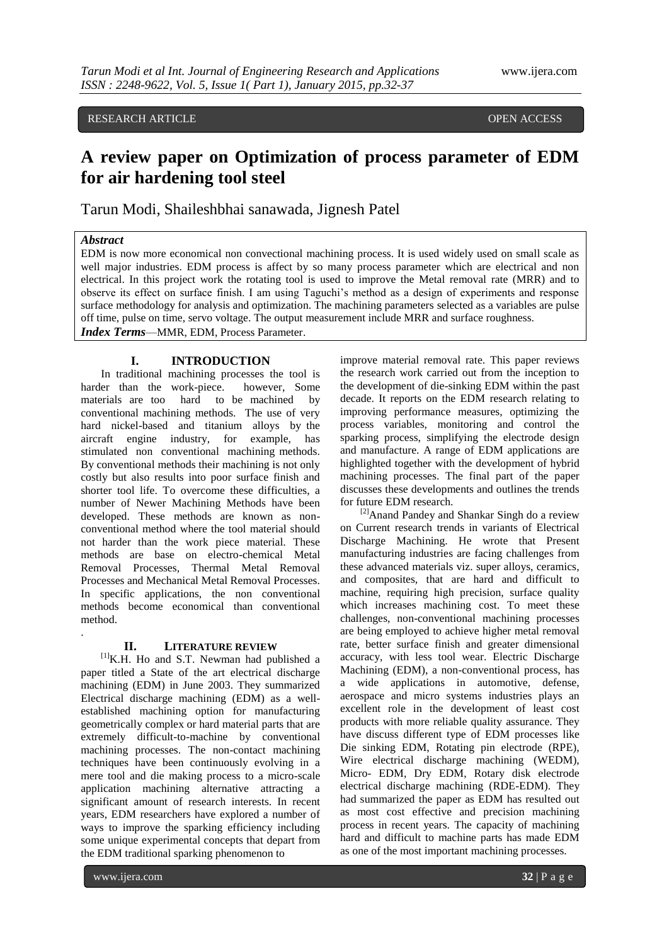## RESEARCH ARTICLE **The CONSTRUCTION CONSTRUCTS** OPEN ACCESS

# **A review paper on Optimization of process parameter of EDM for air hardening tool steel**

Tarun Modi, Shaileshbhai sanawada, Jignesh Patel

## *Abstract*

EDM is now more economical non convectional machining process. It is used widely used on small scale as well major industries. EDM process is affect by so many process parameter which are electrical and non electrical. In this project work the rotating tool is used to improve the Metal removal rate (MRR) and to observe its effect on surface finish. I am using Taguchi's method as a design of experiments and response surface methodology for analysis and optimization. The machining parameters selected as a variables are pulse off time, pulse on time, servo voltage. The output measurement include MRR and surface roughness. *Index Terms*—MMR, EDM, Process Parameter.

#### **I. INTRODUCTION**

In traditional machining processes the tool is harder than the work-piece. however, Some materials are too hard to be machined by conventional machining methods. The use of very hard nickel-based and titanium alloys by the aircraft engine industry, for example, has stimulated non conventional machining methods. By conventional methods their machining is not only costly but also results into poor surface finish and shorter tool life. To overcome these difficulties, a number of Newer Machining Methods have been developed. These methods are known as nonconventional method where the tool material should not harder than the work piece material. These methods are base on electro-chemical Metal Removal Processes, Thermal Metal Removal Processes and Mechanical Metal Removal Processes. In specific applications, the non conventional methods become economical than conventional method.

### **II. LITERATURE REVIEW**

 $^{[1]}$ K.H. Ho and S.T. Newman had published a paper titled a State of the art electrical discharge machining (EDM) in June 2003. They summarized Electrical discharge machining (EDM) as a wellestablished machining option for manufacturing geometrically complex or hard material parts that are extremely difficult-to-machine by conventional machining processes. The non-contact machining techniques have been continuously evolving in a mere tool and die making process to a micro-scale application machining alternative attracting a significant amount of research interests. In recent years, EDM researchers have explored a number of ways to improve the sparking efficiency including some unique experimental concepts that depart from the EDM traditional sparking phenomenon to

improve material removal rate. This paper reviews the research work carried out from the inception to the development of die-sinking EDM within the past decade. It reports on the EDM research relating to improving performance measures, optimizing the process variables, monitoring and control the sparking process, simplifying the electrode design and manufacture. A range of EDM applications are highlighted together with the development of hybrid machining processes. The final part of the paper discusses these developments and outlines the trends for future EDM research.

<sup>[2]</sup>Anand Pandey and Shankar Singh do a review on Current research trends in variants of Electrical Discharge Machining. He wrote that Present manufacturing industries are facing challenges from these advanced materials viz. super alloys, ceramics, and composites, that are hard and difficult to machine, requiring high precision, surface quality which increases machining cost. To meet these challenges, non-conventional machining processes are being employed to achieve higher metal removal rate, better surface finish and greater dimensional accuracy, with less tool wear. Electric Discharge Machining (EDM), a non-conventional process, has a wide applications in automotive, defense, aerospace and micro systems industries plays an excellent role in the development of least cost products with more reliable quality assurance. They have discuss different type of EDM processes like Die sinking EDM, Rotating pin electrode (RPE), Wire electrical discharge machining (WEDM), Micro- EDM, Dry EDM, Rotary disk electrode electrical discharge machining (RDE-EDM). They had summarized the paper as EDM has resulted out as most cost effective and precision machining process in recent years. The capacity of machining hard and difficult to machine parts has made EDM as one of the most important machining processes.

.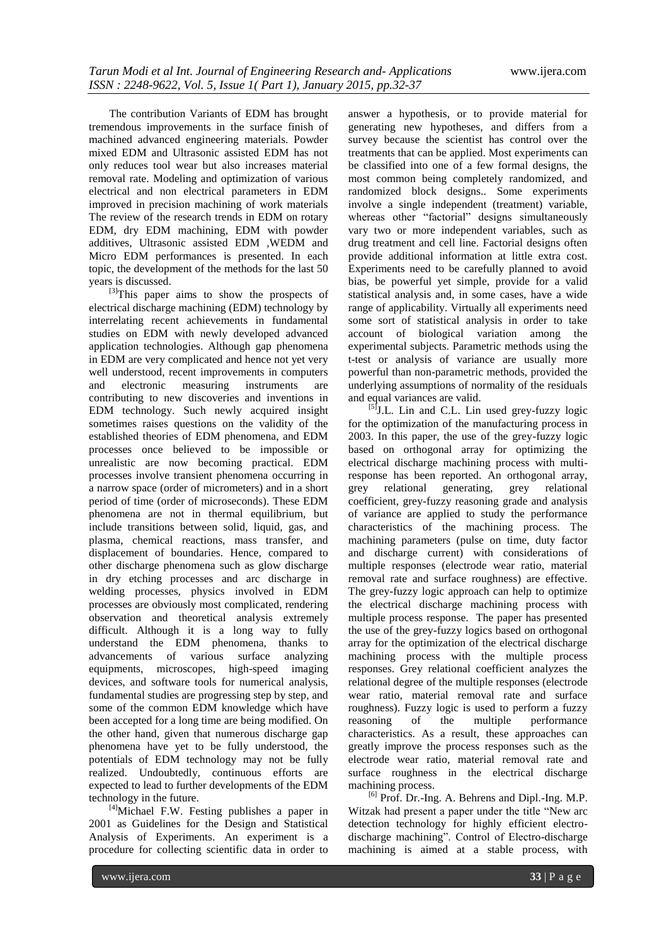The contribution Variants of EDM has brought tremendous improvements in the surface finish of machined advanced engineering materials. Powder mixed EDM and Ultrasonic assisted EDM has not only reduces tool wear but also increases material removal rate. Modeling and optimization of various electrical and non electrical parameters in EDM improved in precision machining of work materials The review of the research trends in EDM on rotary EDM, dry EDM machining, EDM with powder additives, Ultrasonic assisted EDM ,WEDM and Micro EDM performances is presented. In each topic, the development of the methods for the last 50 years is discussed.

[3]This paper aims to show the prospects of electrical discharge machining (EDM) technology by interrelating recent achievements in fundamental studies on EDM with newly developed advanced application technologies. Although gap phenomena in EDM are very complicated and hence not yet very well understood, recent improvements in computers and electronic measuring instruments are contributing to new discoveries and inventions in EDM technology. Such newly acquired insight sometimes raises questions on the validity of the established theories of EDM phenomena, and EDM processes once believed to be impossible or unrealistic are now becoming practical. EDM processes involve transient phenomena occurring in a narrow space (order of micrometers) and in a short period of time (order of microseconds). These EDM phenomena are not in thermal equilibrium, but include transitions between solid, liquid, gas, and plasma, chemical reactions, mass transfer, and displacement of boundaries. Hence, compared to other discharge phenomena such as glow discharge in dry etching processes and arc discharge in welding processes, physics involved in EDM processes are obviously most complicated, rendering observation and theoretical analysis extremely difficult. Although it is a long way to fully understand the EDM phenomena, thanks to advancements of various surface analyzing equipments, microscopes, high-speed imaging devices, and software tools for numerical analysis, fundamental studies are progressing step by step, and some of the common EDM knowledge which have been accepted for a long time are being modified. On the other hand, given that numerous discharge gap phenomena have yet to be fully understood, the potentials of EDM technology may not be fully realized. Undoubtedly, continuous efforts are expected to lead to further developments of the EDM technology in the future.

<sup>[4]</sup>Michael F.W. Festing publishes a paper in 2001 as Guidelines for the Design and Statistical Analysis of Experiments. An experiment is a procedure for collecting scientific data in order to

answer a hypothesis, or to provide material for generating new hypotheses, and differs from a survey because the scientist has control over the treatments that can be applied. Most experiments can be classified into one of a few formal designs, the most common being completely randomized, and randomized block designs.. Some experiments involve a single independent (treatment) variable, whereas other "factorial" designs simultaneously vary two or more independent variables, such as drug treatment and cell line. Factorial designs often provide additional information at little extra cost. Experiments need to be carefully planned to avoid bias, be powerful yet simple, provide for a valid statistical analysis and, in some cases, have a wide range of applicability. Virtually all experiments need some sort of statistical analysis in order to take account of biological variation among the experimental subjects. Parametric methods using the t-test or analysis of variance are usually more powerful than non-parametric methods, provided the underlying assumptions of normality of the residuals and equal variances are valid.

[5] J.L. Lin and C.L. Lin used grey-fuzzy logic for the optimization of the manufacturing process in 2003. In this paper, the use of the grey-fuzzy logic based on orthogonal array for optimizing the electrical discharge machining process with multiresponse has been reported. An orthogonal array, grey relational generating, grey relational coefficient, grey-fuzzy reasoning grade and analysis of variance are applied to study the performance characteristics of the machining process. The machining parameters (pulse on time, duty factor and discharge current) with considerations of multiple responses (electrode wear ratio, material removal rate and surface roughness) are effective. The grey-fuzzy logic approach can help to optimize the electrical discharge machining process with multiple process response. The paper has presented the use of the grey-fuzzy logics based on orthogonal array for the optimization of the electrical discharge machining process with the multiple process responses. Grey relational coefficient analyzes the relational degree of the multiple responses (electrode wear ratio, material removal rate and surface roughness). Fuzzy logic is used to perform a fuzzy reasoning of the multiple performance characteristics. As a result, these approaches can greatly improve the process responses such as the electrode wear ratio, material removal rate and surface roughness in the electrical discharge machining process.

<sup>[6]</sup> Prof. Dr.-Ing. A. Behrens and Dipl.-Ing. M.P. Witzak had present a paper under the title "New arc detection technology for highly efficient electrodischarge machining". Control of Electro-discharge machining is aimed at a stable process, with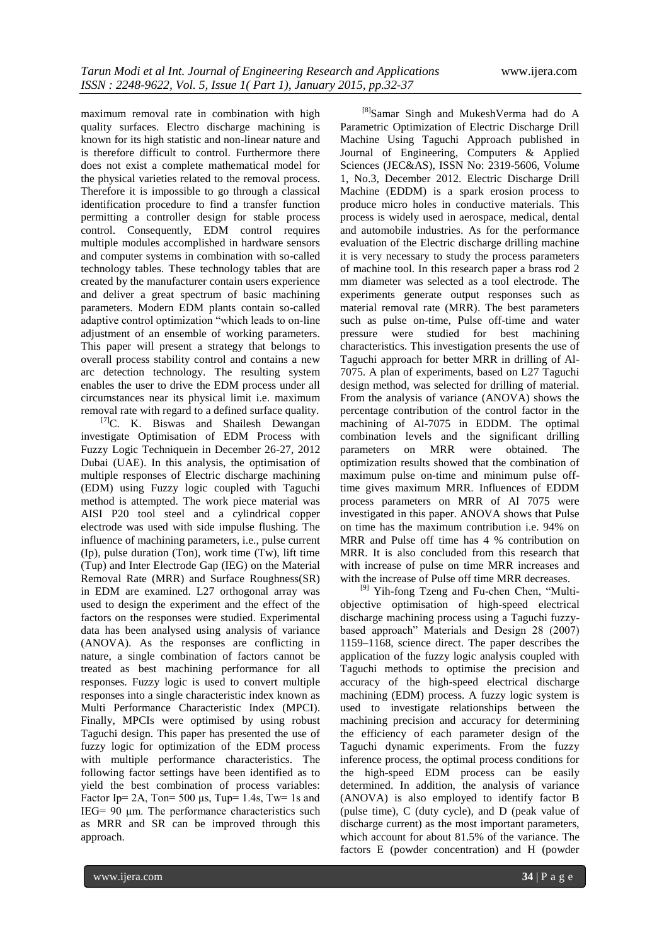maximum removal rate in combination with high quality surfaces. Electro discharge machining is known for its high statistic and non-linear nature and is therefore difficult to control. Furthermore there does not exist a complete mathematical model for the physical varieties related to the removal process. Therefore it is impossible to go through a classical identification procedure to find a transfer function permitting a controller design for stable process control. Consequently, EDM control requires multiple modules accomplished in hardware sensors and computer systems in combination with so-called technology tables. These technology tables that are created by the manufacturer contain users experience and deliver a great spectrum of basic machining parameters. Modern EDM plants contain so-called adaptive control optimization "which leads to on-line adjustment of an ensemble of working parameters. This paper will present a strategy that belongs to overall process stability control and contains a new arc detection technology. The resulting system enables the user to drive the EDM process under all circumstances near its physical limit i.e. maximum removal rate with regard to a defined surface quality.

<sup>[7]</sup>C. K. Biswas and Shailesh Dewangan investigate Optimisation of EDM Process with Fuzzy Logic Techniquein in December 26-27, 2012 Dubai (UAE). In this analysis, the optimisation of multiple responses of Electric discharge machining (EDM) using Fuzzy logic coupled with Taguchi method is attempted. The work piece material was AISI P20 tool steel and a cylindrical copper electrode was used with side impulse flushing. The influence of machining parameters, i.e., pulse current (Ip), pulse duration (Ton), work time (Tw), lift time (Tup) and Inter Electrode Gap (IEG) on the Material Removal Rate (MRR) and Surface Roughness(SR) in EDM are examined. L27 orthogonal array was used to design the experiment and the effect of the factors on the responses were studied. Experimental data has been analysed using analysis of variance (ANOVA). As the responses are conflicting in nature, a single combination of factors cannot be treated as best machining performance for all responses. Fuzzy logic is used to convert multiple responses into a single characteristic index known as Multi Performance Characteristic Index (MPCI). Finally, MPCIs were optimised by using robust Taguchi design. This paper has presented the use of fuzzy logic for optimization of the EDM process with multiple performance characteristics. The following factor settings have been identified as to yield the best combination of process variables: Factor Ip=  $2A$ , Ton=  $500 \mu s$ , Tup= 1.4s, Tw= 1s and IEG= 90 μm. The performance characteristics such as MRR and SR can be improved through this approach.

<sup>[8]</sup>Samar Singh and MukeshVerma had do A Parametric Optimization of Electric Discharge Drill Machine Using Taguchi Approach published in Journal of Engineering, Computers & Applied Sciences (JEC&AS), ISSN No: 2319-5606, Volume 1, No.3, December 2012. Electric Discharge Drill Machine (EDDM) is a spark erosion process to produce micro holes in conductive materials. This process is widely used in aerospace, medical, dental and automobile industries. As for the performance evaluation of the Electric discharge drilling machine it is very necessary to study the process parameters of machine tool. In this research paper a brass rod 2 mm diameter was selected as a tool electrode. The experiments generate output responses such as material removal rate (MRR). The best parameters such as pulse on-time, Pulse off-time and water pressure were studied for best machining characteristics. This investigation presents the use of Taguchi approach for better MRR in drilling of Al-7075. A plan of experiments, based on L27 Taguchi design method, was selected for drilling of material. From the analysis of variance (ANOVA) shows the percentage contribution of the control factor in the machining of Al-7075 in EDDM. The optimal combination levels and the significant drilling parameters on MRR were obtained. The optimization results showed that the combination of maximum pulse on-time and minimum pulse offtime gives maximum MRR. Influences of EDDM process parameters on MRR of Al 7075 were investigated in this paper. ANOVA shows that Pulse on time has the maximum contribution i.e. 94% on MRR and Pulse off time has 4 % contribution on MRR. It is also concluded from this research that with increase of pulse on time MRR increases and with the increase of Pulse off time MRR decreases.

<sup>[9]</sup> Yih-fong Tzeng and Fu-chen Chen, "Multiobjective optimisation of high-speed electrical discharge machining process using a Taguchi fuzzybased approach" Materials and Design 28 (2007) 1159–1168, science direct. The paper describes the application of the fuzzy logic analysis coupled with Taguchi methods to optimise the precision and accuracy of the high-speed electrical discharge machining (EDM) process. A fuzzy logic system is used to investigate relationships between the machining precision and accuracy for determining the efficiency of each parameter design of the Taguchi dynamic experiments. From the fuzzy inference process, the optimal process conditions for the high-speed EDM process can be easily determined. In addition, the analysis of variance (ANOVA) is also employed to identify factor B (pulse time), C (duty cycle), and D (peak value of discharge current) as the most important parameters, which account for about 81.5% of the variance. The factors E (powder concentration) and H (powder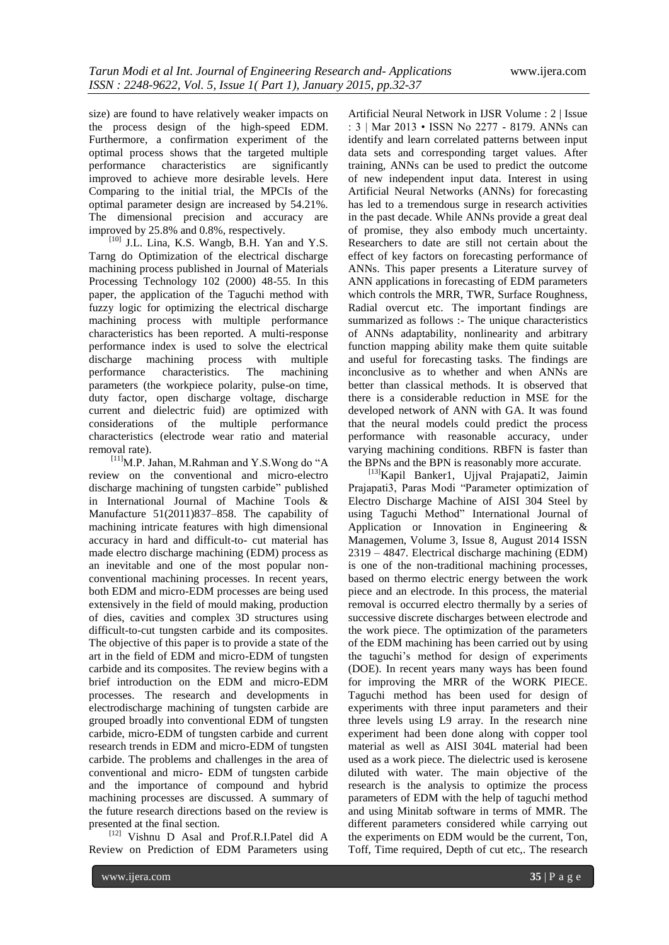size) are found to have relatively weaker impacts on the process design of the high-speed EDM. Furthermore, a confirmation experiment of the optimal process shows that the targeted multiple performance characteristics are significantly improved to achieve more desirable levels. Here Comparing to the initial trial, the MPCIs of the optimal parameter design are increased by 54.21%. The dimensional precision and accuracy are improved by 25.8% and 0.8%, respectively.

[10] J.L. Lina, K.S. Wangb, B.H. Yan and Y.S. Tarng do Optimization of the electrical discharge machining process published in Journal of Materials Processing Technology 102 (2000) 48-55. In this paper, the application of the Taguchi method with fuzzy logic for optimizing the electrical discharge machining process with multiple performance characteristics has been reported. A multi-response performance index is used to solve the electrical discharge machining process with multiple performance characteristics. The machining parameters (the workpiece polarity, pulse-on time, duty factor, open discharge voltage, discharge current and dielectric fuid) are optimized with considerations of the multiple performance characteristics (electrode wear ratio and material removal rate).

 $^{[11]}$ M.P. Jahan, M.Rahman and Y.S. Wong do "A review on the conventional and micro-electro discharge machining of tungsten carbide" published in International Journal of Machine Tools & Manufacture 51(2011)837–858. The capability of machining intricate features with high dimensional accuracy in hard and difficult-to- cut material has made electro discharge machining (EDM) process as an inevitable and one of the most popular nonconventional machining processes. In recent years, both EDM and micro-EDM processes are being used extensively in the field of mould making, production of dies, cavities and complex 3D structures using difficult-to-cut tungsten carbide and its composites. The objective of this paper is to provide a state of the art in the field of EDM and micro-EDM of tungsten carbide and its composites. The review begins with a brief introduction on the EDM and micro-EDM processes. The research and developments in electrodischarge machining of tungsten carbide are grouped broadly into conventional EDM of tungsten carbide, micro-EDM of tungsten carbide and current research trends in EDM and micro-EDM of tungsten carbide. The problems and challenges in the area of conventional and micro- EDM of tungsten carbide and the importance of compound and hybrid machining processes are discussed. A summary of the future research directions based on the review is presented at the final section.

[12] Vishnu D Asal and Prof.R.I.Patel did A Review on Prediction of EDM Parameters using

Artificial Neural Network in IJSR Volume : 2 | Issue : 3 | Mar 2013 • ISSN No 2277 - 8179. ANNs can identify and learn correlated patterns between input data sets and corresponding target values. After training, ANNs can be used to predict the outcome of new independent input data. Interest in using Artificial Neural Networks (ANNs) for forecasting has led to a tremendous surge in research activities in the past decade. While ANNs provide a great deal of promise, they also embody much uncertainty. Researchers to date are still not certain about the effect of key factors on forecasting performance of ANNs. This paper presents a Literature survey of ANN applications in forecasting of EDM parameters which controls the MRR, TWR, Surface Roughness, Radial overcut etc. The important findings are summarized as follows :- The unique characteristics of ANNs adaptability, nonlinearity and arbitrary function mapping ability make them quite suitable and useful for forecasting tasks. The findings are inconclusive as to whether and when ANNs are better than classical methods. It is observed that there is a considerable reduction in MSE for the developed network of ANN with GA. It was found that the neural models could predict the process performance with reasonable accuracy, under varying machining conditions. RBFN is faster than the BPNs and the BPN is reasonably more accurate.

[13]Kapil Banker1, Ujjval Prajapati2, Jaimin Prajapati3, Paras Modi "Parameter optimization of Electro Discharge Machine of AISI 304 Steel by using Taguchi Method" International Journal of Application or Innovation in Engineering & Managemen, Volume 3, Issue 8, August 2014 ISSN 2319 – 4847. Electrical discharge machining (EDM) is one of the non-traditional machining processes, based on thermo electric energy between the work piece and an electrode. In this process, the material removal is occurred electro thermally by a series of successive discrete discharges between electrode and the work piece. The optimization of the parameters of the EDM machining has been carried out by using the taguchi's method for design of experiments (DOE). In recent years many ways has been found for improving the MRR of the WORK PIECE. Taguchi method has been used for design of experiments with three input parameters and their three levels using L9 array. In the research nine experiment had been done along with copper tool material as well as AISI 304L material had been used as a work piece. The dielectric used is kerosene diluted with water. The main objective of the research is the analysis to optimize the process parameters of EDM with the help of taguchi method and using Minitab software in terms of MMR. The different parameters considered while carrying out the experiments on EDM would be the current, Ton, Toff, Time required, Depth of cut etc,. The research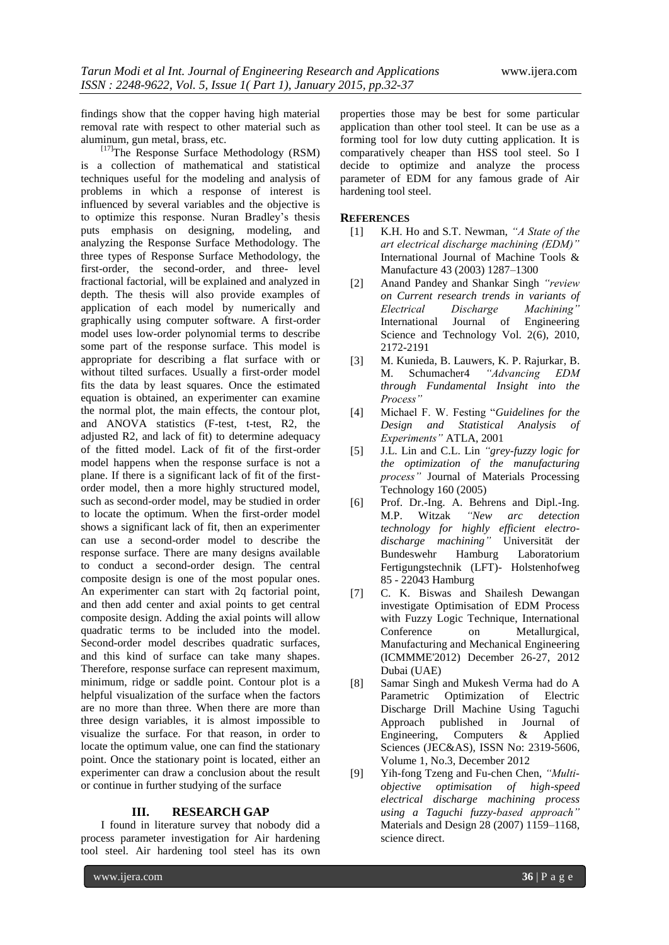findings show that the copper having high material removal rate with respect to other material such as aluminum, gun metal, brass, etc.

 $^{[17]}$ The Response Surface Methodology (RSM) is a collection of mathematical and statistical techniques useful for the modeling and analysis of problems in which a response of interest is influenced by several variables and the objective is to optimize this response. Nuran Bradley's thesis puts emphasis on designing, modeling, and analyzing the Response Surface Methodology. The three types of Response Surface Methodology, the first-order, the second-order, and three- level fractional factorial, will be explained and analyzed in depth. The thesis will also provide examples of application of each model by numerically and graphically using computer software. A first-order model uses low-order polynomial terms to describe some part of the response surface. This model is appropriate for describing a flat surface with or without tilted surfaces. Usually a first-order model fits the data by least squares. Once the estimated equation is obtained, an experimenter can examine the normal plot, the main effects, the contour plot, and ANOVA statistics (F-test, t-test, R2, the adjusted R2, and lack of fit) to determine adequacy of the fitted model. Lack of fit of the first-order model happens when the response surface is not a plane. If there is a significant lack of fit of the firstorder model, then a more highly structured model, such as second-order model, may be studied in order to locate the optimum. When the first-order model shows a significant lack of fit, then an experimenter can use a second-order model to describe the response surface. There are many designs available to conduct a second-order design. The central composite design is one of the most popular ones. An experimenter can start with 2q factorial point, and then add center and axial points to get central composite design. Adding the axial points will allow quadratic terms to be included into the model. Second-order model describes quadratic surfaces, and this kind of surface can take many shapes. Therefore, response surface can represent maximum, minimum, ridge or saddle point. Contour plot is a helpful visualization of the surface when the factors are no more than three. When there are more than three design variables, it is almost impossible to visualize the surface. For that reason, in order to locate the optimum value, one can find the stationary point. Once the stationary point is located, either an experimenter can draw a conclusion about the result or continue in further studying of the surface

#### **III. RESEARCH GAP**

I found in literature survey that nobody did a process parameter investigation for Air hardening tool steel. Air hardening tool steel has its own

properties those may be best for some particular application than other tool steel. It can be use as a forming tool for low duty cutting application. It is comparatively cheaper than HSS tool steel. So I decide to optimize and analyze the process parameter of EDM for any famous grade of Air hardening tool steel.

#### **REFERENCES**

- [1] K.H. Ho and S.T. Newman, *"A State of the art electrical discharge machining (EDM)"* International Journal of Machine Tools & Manufacture 43 (2003) 1287–1300
- [2] Anand Pandey and Shankar Singh *"review on Current research trends in variants of Electrical Discharge Machining"* International Journal of Engineering Science and Technology Vol. 2(6), 2010, 2172-2191
- [3] M. Kunieda, B. Lauwers, K. P. Rajurkar, B. M. Schumacher4 *"Advancing EDM through Fundamental Insight into the Process"*
- [4] Michael F. W. Festing "Guidelines for the *Design and Statistical Analysis of Experiments"* ATLA, 2001
- [5] J.L. Lin and C.L. Lin *"grey-fuzzy logic for the optimization of the manufacturing process"* Journal of Materials Processing Technology 160 (2005)
- [6] Prof. Dr.-Ing. A. Behrens and Dipl.-Ing. M.P. Witzak *"New arc detection technology for highly efficient electrodischarge machining"* Universität der Bundeswehr Hamburg Laboratorium Fertigungstechnik (LFT)- Holstenhofweg 85 - 22043 Hamburg
- [7] C. K. Biswas and Shailesh Dewangan investigate Optimisation of EDM Process with Fuzzy Logic Technique, International Conference on Metallurgical, Manufacturing and Mechanical Engineering (ICMMME'2012) December 26-27, 2012 Dubai (UAE)
- [8] Samar Singh and Mukesh Verma had do A Parametric Optimization of Electric Discharge Drill Machine Using Taguchi Approach published in Journal of Engineering, Computers & Applied Engineering, Computers & Applied Sciences (JEC&AS), ISSN No: 2319-5606, Volume 1, No.3, December 2012
- [9] Yih-fong Tzeng and Fu-chen Chen, *"Multiobjective optimisation of high-speed electrical discharge machining process using a Taguchi fuzzy-based approach"* Materials and Design 28 (2007) 1159–1168, science direct.